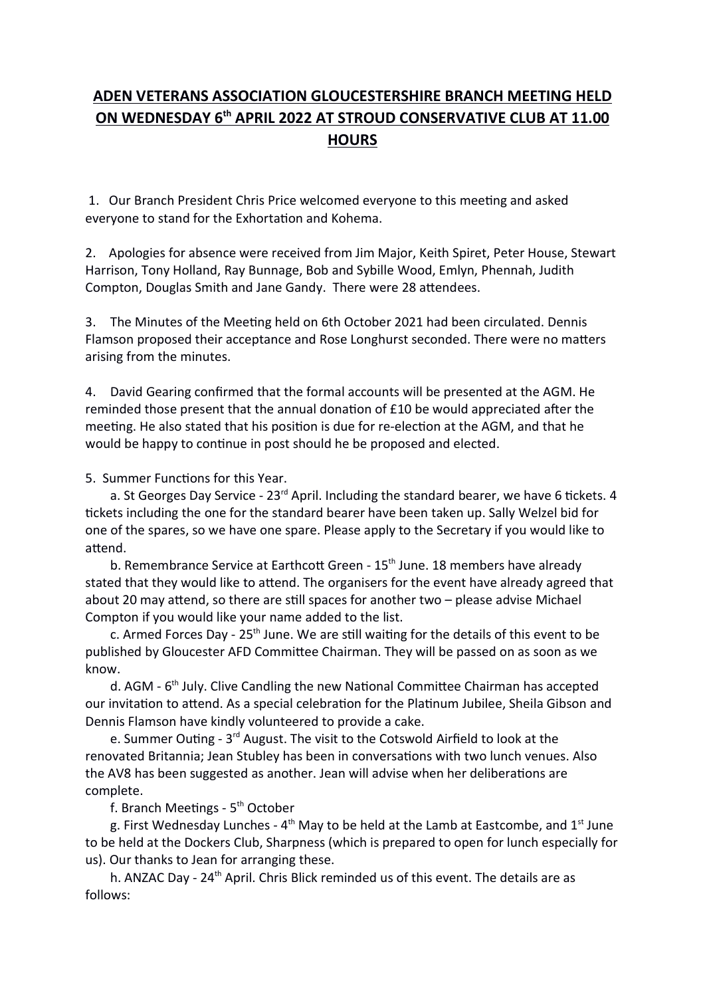## ADEN VETERANS ASSOCIATION GLOUCESTERSHIRE BRANCH MEETING HELD ON WEDNESDAY 6<sup>th</sup> APRIL 2022 AT STROUD CONSERVATIVE CLUB AT 11.00 **HOURS**

1. Our Branch President Chris Price welcomed everyone to this meeting and asked everyone to stand for the Exhortation and Kohema.

2. Apologies for absence were received from Jim Major, Keith Spiret, Peter House, Stewart Harrison, Tony Holland, Ray Bunnage, Bob and Sybille Wood, Emlyn, Phennah, Judith Compton, Douglas Smith and Jane Gandy. There were 28 attendees.

3. The Minutes of the Meeting held on 6th October 2021 had been circulated. Dennis Flamson proposed their acceptance and Rose Longhurst seconded. There were no matters arising from the minutes.

4. David Gearing confirmed that the formal accounts will be presented at the AGM. He reminded those present that the annual donation of  $£10$  be would appreciated after the meeting. He also stated that his position is due for re-election at the AGM, and that he would be happy to continue in post should he be proposed and elected.

5. Summer Functions for this Year.

a. St Georges Day Service -  $23^{rd}$  April. Including the standard bearer, we have 6 tickets. 4 tickets including the one for the standard bearer have been taken up. Sally Welzel bid for one of the spares, so we have one spare. Please apply to the Secretary if you would like to attend.

b. Remembrance Service at Earthcott Green - 15<sup>th</sup> June. 18 members have already stated that they would like to attend. The organisers for the event have already agreed that about 20 may attend, so there are still spaces for another two  $-$  please advise Michael Compton if you would like your name added to the list.

c. Armed Forces Day -  $25<sup>th</sup>$  June. We are still waiting for the details of this event to be published by Gloucester AFD Committee Chairman. They will be passed on as soon as we know.

d. AGM - 6<sup>th</sup> July. Clive Candling the new National Committee Chairman has accepted our invitation to attend. As a special celebration for the Platinum Jubilee, Sheila Gibson and Dennis Flamson have kindly volunteered to provide a cake.

e. Summer Outing - 3<sup>rd</sup> August. The visit to the Cotswold Airfield to look at the renovated Britannia; Jean Stubley has been in conversations with two lunch venues. Also the AV8 has been suggested as another. Jean will advise when her deliberations are complete.

f. Branch Meetings - 5<sup>th</sup> October

g. First Wednesday Lunches -  $4<sup>th</sup>$  May to be held at the Lamb at Eastcombe, and  $1<sup>st</sup>$  June to be held at the Dockers Club, Sharpness (which is prepared to open for lunch especially for us). Our thanks to Jean for arranging these.

h. ANZAC Day - 24<sup>th</sup> April. Chris Blick reminded us of this event. The details are as follows: